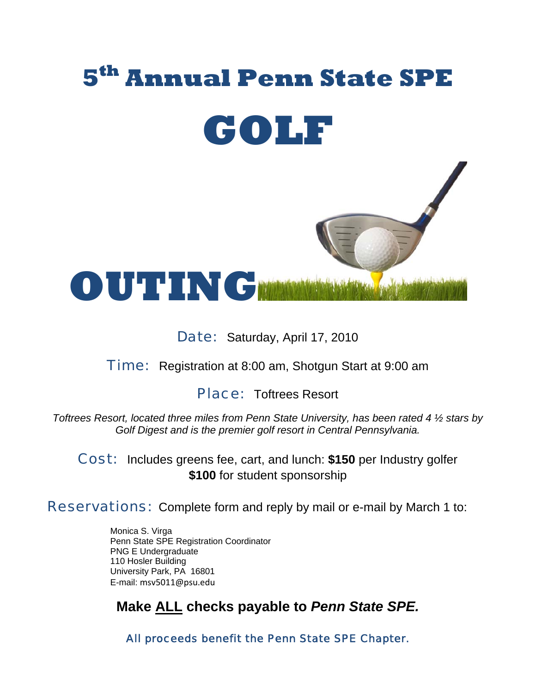

Date: Saturday, April 17, 2010

**Time:** Registration at 8:00 am, Shotgun Start at 9:00 am

Place: Toftrees Resort

*Toftrees Resort, located three miles from Penn State University, has been rated 4 ½ stars by Golf Digest and is the premier golf resort in Central Pennsylvania.* 

Cost: Includes greens fee, cart, and lunch: **\$150** per Industry golfer **\$100** for student sponsorship

Reservations: Complete form and reply by mail or e-mail by March 1 to:

Monica S. Virga Penn State SPE Registration Coordinator PNG E Undergraduate 110 Hosler Building University Park, PA 16801 E-mail: msv5011@psu.edu

**Make ALL checks payable to** *Penn State SPE.* 

All proceeds benefit the Penn State SPE Chapter.